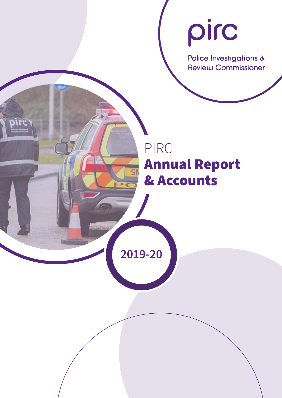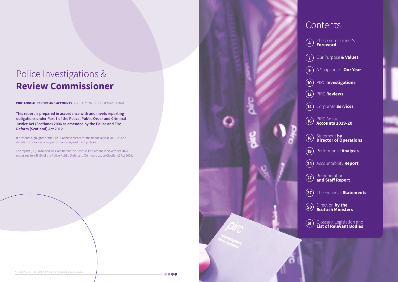### **Contents**

**This report is prepared in accordance with and meets reporting obligations under Part 1 of the Police, Public Order and Criminal Justice Act (Scotland) 2006 as amended by the Police and Fire Reform (Scotland) Act 2012.**

It presents highlights of the PIRC's achievements for the financial year 2019-20 and details the organisation's performance against its objectives.

The report (SG/2020/229) was laid before the Scottish Parliament in November 2020 under section 43 (5) of the Police Public Order and Criminal Justice (Scotland) Act 2006.

# Police Investigations & **Review Commissioner**

**PIRC ANNUAL REPORT AND ACCOUNTS** FOR THE YEAR ENDED 31 MARCH 2020

The Commissioner's **Foreword 4**

- Our Purpose **& Values**  $(7)$
- A Snapshot of **Our Year 9**
- PIRC **Investigations 10**
- PIRC **Reviews 12**
- **14**) Corporate Services
- PIRC Annual **Accounts 2019-20**  $(16)$
- Statement **by Director of Operations 18**
- Performance **Analysis 19**
- Accountability **Report**  $(24)$
- Remuneration **and Staff Report 27**
- The Financial **Statements 37**
- Direction **by the Scottish Ministers 50**
- Glossary, Legislation and **List of Relevant Bodies 51**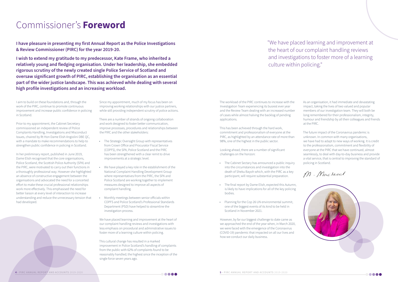**4** • **PIRC ANNUAL REPORT AND ACCOUNTS** 2019-2020 **5** • **PIRC ANNUAL REPORT AND ACCOUNTS** 2019-2020

**I have pleasure in presenting my first Annual Report as the Police Investigations & Review Commissioner (PIRC) for the year 2019-20.** 

**I wish to extend my gratitude to my predecessor, Kate Frame, who inherited a relatively young and fledging organisation. Under her leadership, she embedded rigorous scrutiny of the newly created single Police Service of Scotland and oversaw significant growth of PIRC, establishing the organisation as an essential part of the wider justice landscape. This was achieved while dealing with several high profile investigations and an increasing workload.**

# Commissioner's **Foreword**

I aim to build on these foundations and, through the work of the PIRC, continue to promote continuous improvement and increase public confidence in policing in Scotland.

Prior to my appointment, the Cabinet Secretary commissioned an independent review of Police Complaints Handling, Investigations and Misconduct Issues, chaired by Rt Hon Dame Elish Angiolini DBE QC, with a mandate to make recommendations to help to strengthen public confidence in policing in Scotland.

In her preliminary report, published in June 2019, Dame Elish recognised that the core organisations, Police Scotland, the Scottish Police Authority (SPA) and the PIRC, were motivated to carry out their functions in a thoroughly professional way. However she highlighted an absence of constructive engagement between the organisations and advocated the need for a concerted effort to make these crucial professional relationships work more effectively. This emphasised the need for better liaison at every level of interaction to increase understanding and reduce the unnecessary tension that had developed.

"We have placed learning and improvement at the heart of our complaint handling reviews and investigations to foster more of a learning culture within policing."

Since my appointment, much of my focus has been on improving working relationships with our justice partners, while still providing independent scrutiny of police actions.

There are a number of strands of ongoing collaboration and work designed to foster better communication, improve processes, procedures and relationships between the PIRC and the other stakeholders:

- The Strategic Oversight Group with representatives from Crown Office and Procurator Fiscal Service (COPFS), the SPA, Police Scotland and the PIRC has been strengthened with a clear remit to drive improvements at a strategic level.
- We have played a key role in the establishment of the National Complaint Handling Development Group where representatives from the PIRC, the SPA and Police Scotland are working together to implement measures designed to improve all aspects of complaint handling.
- Monthly meetings between senior officials within COPFS and Police Scotland's Professional Standards Department (PSD) have helped to streamline the investigation process.

We have placed learning and improvement at the heart of our complaint handling reviews and investigations with less emphasis on procedural and administrative issues to foster more of a learning culture within policing.

This cultural change has resulted in a marked improvement in Police Scotland's handling of complaints from the public with 62% of complaints found to be reasonably handled; the highest since the inception of the single force seven years ago.

The workload of the PIRC continues to increase with the Investigation Team experiencing its busiest ever year and the Review Team dealing with an increased number of cases while almost halving the backlog of pending applications.

This has been achieved through the hard work, commitment and professionalism of everyone at the PIRC, as highlighted by an attendance rate of more than 98%, one of the highest in the public sector.

Looking ahead, there are a number of significant challenges on the horizon:

- The Cabinet Sectary has announced a public inquiry into the circumstances and investigation into the death of Sheku Bayoh which, with the PIRC as a key participant, will require substantial preparation.
- The final report by Dame Elish, expected this Autumn, is likely to have implications for all of the key policing bodies.
- Planning for the Cop 26 UN environmental summit, one of the biggest events of its kind to be held in Scotland in November 2021.

However, by far our biggest challenge to date came as we approached the end of the year when, in March 2020, we were faced with the emergence of the Coronavirus (COVID-19) pandemic that impacted on all our lives and how we conduct our daily business.

As an organisation, it had immediate and devastating impact, taking the lives of two valued and popular members of our investigation team. They will both be long remembered for their professionalism, integrity, humour and friendship by all their colleagues and friends at the PIRC.

The future impact of the Coronavirus pandemic is unknown. In common with many organisations, we have had to adapt to new ways of working. It is credit to the professionalism, commitment and flexibility of everyone at the PIRC that we have continued, almost seamlessly, to deal with day-to-day business and provide a vital service, that is central to improving the standard of policing in Scotland.

M. Macleod



8886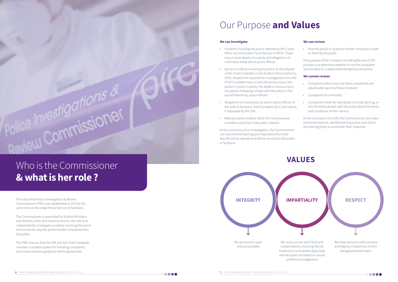#### **We can investigate:**

- Incidents involving the police, referred by the Crown Office and Procurator Fiscal Service (COPFS). These may include deaths in custody and allegations of criminality made about police officers.
- Serious incidents involving the police, at the request of the Chief Constable or the Scottish Police Authority (SPA). Reasons for requests for investigations from the Chief Constable may include the serious injury of a person in police custody, the death or serious injury of a person following contact with the police or the use of firearms by police officers.
- Allegations of misconduct by senior police officers of the rank of Assistant Chief Constable (ACC) and above, if requested by the SPA.
- Relevant police matters which the Commissioner considers would be in the public interest.

At the conclusion of an investigation, the Commissioner can recommend learning and improvements to the way the police operate and deliver services to the public in Scotland.

# Our Purpose **and Values**

#### **We can review:**

• How the police in Scotland handle complaints made to them by the public.

The purpose of the Complaint Handling Review (CHR) process is to determine whether or not the complaint was handled to a reasonable standard by the police.

#### **We cannot review:**

- Complaints which have not been considered and adjudicated upon by Police Scotland.
- Complaints of criminality.
- Complaints made by individuals currently serving, or who formerly served, with the police about the terms and conditions of their service.

At the conclusion of a CHR, the Commissioner can make recommendations, identify learning points, and direct the policing body to reconsider their response.



# **VALUES** Who is the Commissioner **& what is her role ?**

astigurissioner

The role of the Police Investigations & Review Commissioner (PIRC) was established in 2013 at the same time as the single Police Service of Scotland.



The Commissioner is appointed by Scottish Ministers and delivers a free and impartial service. Her role is to independently investigate incidents involving the police and review the way the police handle complaints from the public.

The PIRC ensures that the SPA and the Chief Constable maintain a suitable system for handling complaints and issues statutory guidance where appropriate.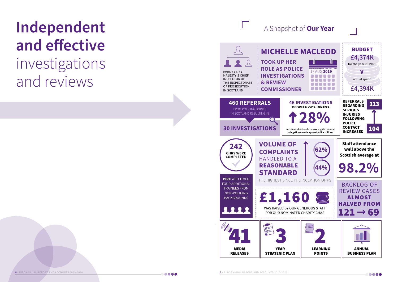# **Independent and effective**  investigations and reviews







....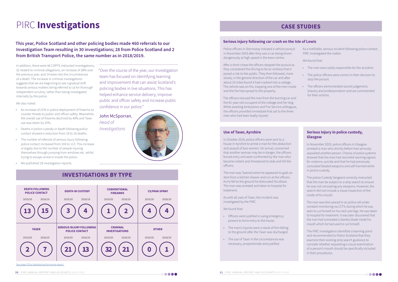### **This year, Police Scotland and other policing bodies made 460 referrals to our Investigation Team resulting in 30 investigations; 28 from Police Scotland and 2 from British Transport Police, the same number as in 2018/2019.**

# PIRC **Investigations**

In addition, there were 46 COPFS instructed investigations; 32 related to criminal allegations, an increase of 28% over the previous year, and 14 were into the circumstances of a death. The increase in criminal investigations suggests that we are beginning to see a gradual shift towards serious matters being referred to us for thorough independent scrutiny, rather than being investigated internally by the police.

#### We also noted:

- An increase of 21% in police deployment of firearms to counter threats to public and officer safety. Meanwhile, the overall use of firearms declined by 40% and Taser use was down by 32%.
- Deaths in police custody or death following police contact showed a reduction from 19 to 16 deaths.
- The number of referrals of serious injury following police contact increased from 104 to 113. This increase is largely due to the number of people injuring themselves through jumping from windows etc. whilst trying to escape arrest or evade the police.
- We published 18 investigation reports.

#### **Serious injury in police custody, Glasgow**

In November 2019, police officers in Glasgow arrested a man who shortly before had seriously assaulted another person. Checks of police systems showed that the man had recorded warning signals for violence, suicide and that he had previously concealed bladed weapons and self-harmed while in police custody.

The police Custody Sergeant correctly instructed that the man be subject to a strip search to ensure he was not concealing any weapons. However, the search did not include a visual inspection of the inside of his mouth.

The man was then placed in an police cell under constant monitoring via CCTV, during which he was seen to cut himself on his neck and legs. He was taken to hospital for treatment. It was later discovered that the man had concealed a Stanley blade inside his mouth which he had used to cut himself.

The PIRC investigation identified a learning point and recommended to Police Scotland that they examine their existing strip search guidance to consider whether requesting a visual examination of a person's mouth should be specifically included in their procedures.



#### **Use of Taser, Ayrshire**

In October 2019, police officers were sent to a house in Ayrshire to arrest a man for the abduction and assault of two women. On arrival, concerned that another woman may be in danger, the officers forced entry and were confronted by the man who became violent and threatened to stab and kill the officers.

The man was Tasered when he appeared to grab an item from a kitchen drawer and run at the officers. As he fell to the ground he dislocated his elbow. The man was arrested and taken to hospital for treatment.

As with all uses of Taser, the incident was investigated by the PIRC.

We found that:

- Officers were justified in using emergency powers to force entry to the house.
- The man's injuries were a result of him falling to the ground after the Taser was discharged.
- The use of Taser in the circumstances was necessary, proportionate and justified.



Police officers in Stornoway initiated a vehicle pursuit in November 2019 after they saw a car being driven dangerously at high speed in the town centre.

After a short chase the officers stopped the pursuit as they considered the driving to be so reckless that it posed a risk to the public. They then followed, more slowly, in the general direction of the car and after about 10 miles found it had crashed into a cottage. The vehicle was on fire, trapping one of the men inside and the fire had spread to the property.

The officers rescued the man from the burning car and the 61-year-old occupant of the cottage and her dog. While awaiting Ambulance and Fire Service colleagues, the officers provided immediate first aid to the three men who had been badly injured.

As a notifiable, serious incident following police contact, PIRC investigated the matter.

We found that:

- The men were solely responsible for the accident.
- The police officers were correct in their decision to stop the pursuit.
- The officers demonstrated sound judgement, bravery and professionalism and are commended for their actions.

#### **Serious injury following car crash on the Isle of Lewis**

### **CASE STUDIES**

### **INVESTIGATIONS BY TYPE**

"Over the course of the year, our Investigation team has focused on identifying learning and improvement that can assist Scotland's policing bodies in live situations. This has helped enhance service delivery, improve public and officer safety and increase public confidence in our police."

### John McSporran,

*Head of Investigations*



See page 19 for detailed performance report.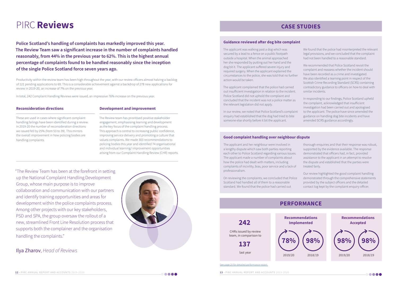**Police Scotland's handling of complaints has markedly improved this year. The Review Team saw a significant increase in the number of complaints handled reasonably, from 44% in the previous year to 62%. This is the highest annual percentage of complaints found to be handled reasonably since the inception of the single Police Scotland force seven years ago.**

## PIRC **Reviews**

"The Review Team has been at the forefront in setting up the National Complaint Handling Development Group, whose main purpose is to improve collaboration and communication with our partners and identify training opportunities and areas for development within the police complaints process. Among other projects with our key stakeholders, PSD and SPA, the group oversaw the rollout of a new, streamlined Front Line Resolution process that supports both the complainer and the organisation handling the complaints."

### Ilya Zharov, *Head of Reviews*



### **CASE STUDIES**

#### **Good complaint handling over neighbour dispute**

The applicant was walking past a dog which was secured by a lead to a fence on a public footpath outside a hospital. When the animal approached her she responded by putting out her hand and the dog bit it. The applicant suffered severe injury and required surgery. When the applicant explained the circumstances to the police, she was told that no further action would be taken.

The applicant complained that the police had carried out insufficient investigation in relation to the incident. Police Scotland did not uphold the complaint and concluded that the incident was not a police matter as the relevant legislation did not apply.

In our review, we noted that Police Scotland's complaint enquiry had established that the dog had tried to bite someone else shortly before it bit the applicant.

We found that the police had misinterpreted the relevant legal provisions, and we concluded that the complaint had not been handled to a reasonable standard.

We recommended that Police Scotland revisit the complaint and reassess whether the incident should have been recorded as a crime and investigated. We also identified a learning point in respect of the Scottish Crime Recording Standard (SCRS) containing contradictory guidance to officers on how to deal with similar incidents.

In responding to our findings, Police Scotland upheld the complaint, acknowledged that insufficient investigation had been carried out and apologised to the applicant. The police have since amended the guidance on handling dog bite incidents and have amended SCRS guidance accordingly.

### **Guidance reviewed after dog bite complaint**

Productivity within the review team has been high throughout the year, with our review officers almost halving a backlog of 121 pending applications to 69. This is a considerable achievement against a backdrop of 278 new applications for review in 2019-20, an increase of 7% on the previous year.

In total, 242 Complaint Handling Reviews were issued, an impressive 76% increase on the previous year.

The applicant and her neighbour were involved in a lengthy dispute which saw both parties reporting each other to Police Scotland regarding various issues. The applicant made a number of complaints about how the police had dealt with matters, including complaints of incivility, bias, poor service and a lack of professionalism.

On reviewing the complaints, we concluded that Police Scotland had handled all of them to a reasonable standard. We found that the police had carried out

thorough enquiries and that their response was robust, supported by the evidence available. The response demonstrated that officers had, in fact, provided assistance to the applicant in an attempt to resolve the dispute and established that the parties were treated fairly.

Our review highlighted the good complaint handling demonstrated through the comprehensive statements provided by the subject officers and the detailed contact log kept by the complaint enquiry officer.

#### **Reconsideration directions**

These are used in cases where significant complaint handling failings have been identified during a review. In 2019-20 the number of reconsideration directions we issued fell by 25% (from 53 to 39). This mirrors the overall improvement in how policing bodies are handling complaints.

#### **Development and improvement**

### **242 137** last year CHRs issued by review team, in comparison to **Recommendations Implemented** 2019/20 2018/19 **78% 98% PERFORMANCE** See page 20 for detailed performance report.





The Review team has prioritised positive stakeholder engagement, emphasising learning and development as the key focus of the complaint handling process. This approach is central to increasing public confidence, improving service delivery and promoting a culture that values complaints. We made 303 recommendations to policing bodies this year and identified 74 organisational and individual learning/ improvement opportunities arising from our Complaint Handling Review (CHR) reports.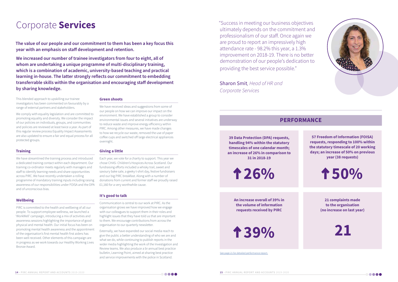

**The value of our people and our commitment to them has been a key focus this year with an emphasis on staff development and retention.**

**We increased our number of trainee investigators from four to eight, all of whom are undertaking a unique programme of multi-disciplinary training, which is a combination of academic, university-based teaching and practical learning in-house. The latter strongly reflects our commitment to embedding transferrable skills within the organisation and encouraging staff development by sharing knowledge.**

# Corporate **Services**

This blended approach to upskilling our trainee investigators has been commented on favourably by a range of external partners and stakeholders.

We comply with equality legislation and are committed to promoting equality and diversity. We consider the impact of our policies on individuals, groups, and communities and policies are reviewed at least twice a year. As part of this regular review process Equality Impact Assessments are also updated to ensure a fair and equal process for all protected groups.

#### **Training**

We have streamlined the training process and introduced a dedicated training contact within each department. Our training co-ordinator meets regularly with managers and staff to identify learning needs and share opportunities across PIRC. We have recently undertaken a rolling programme of mandatory training inputs including raising awareness of our responsibilities under FOISA and the DPA and of unconscious bias.

#### **Wellbeing**

PIRC is committed to the health and wellbeing of all our people. To support employee wellness, we launched a 'WorkWell' campaign, introducing a mix of activities and awareness sessions highlighting the importance of good physical and mental health. Our initial focus has been on promoting mental health awareness and the appointment of the organisation's first mental health first aiders has been well received. Other elements of this campaign are in progress as we work towards our Healthy Working Lives Bronze Award.

#### **Green shoots**

We have received ideas and suggestions from some of our people on how we can improve our impact on the environment. We have established a group to consider environmental issues and several initiatives are underway to reduce waste and improve energy efficiency within PIRC. Among other measures, we have made changes to how we recycle our waste, removed the use of paper coffee cups and switched off large electrical appliances overnight.

#### **Giving a little**

Each year, we vote for a charity to support. This year we chose CHAS- Children's Hospices Across Scotland. Our fundraising efforts included a whisky trail, sweet and savoury bake sale, a geeky t-shirt day, festive fundraisers and our big PIRC breakfast. Along with a number of donations from current and former staff we proudly raised £1,160 for a very worthwhile cause.

#### **It's good to talk**

Communication is central to our work at PIRC. As the organisation grows we have improved how we engage with our colleagues to support them in their roles and highlight issues that they have told us that are important to them. We encourage contributions from across the organisation to our quarterly newsletter.

Externally, we have expanded our social media reach to give the public a better understanding of who we are and what we do, while continuing to publish reports in the wider media highlighting the work of the Investigation and Review teams. We also produce a bi-annual best practice bulletin, Learning Point, aimed at sharing best practice and service improvements with the police in Scotland.

### **PERFORMANCE**

"Success in meeting our business objectives ultimately depends on the commitment and professionalism of our staff. Once again we are proud to report an impressively high attendance rate - 98.2% this year, a 1.3% improvement on 2018-19. There is no better demonstration of our people's dedication to providing the best service possible."

Sharon Smit*, Head of HR and Corporate Services*

**39 Data Protection (DPA) requests, handling 94% within the statutory timescales of one calendar month; an increase of 26% in comparison to 31 in 2018-19**

**57 Freedom of Information (FOISA) requests, responding to 100% within the statutory timescale of 20 working days; an increase of 50% on previous year (38 requests)**

**An increase overall of 39% in the volume of information requests received by PIRC**

#### **21 complaints made to the organisation (no increase on last year)**







**39% 21**

See page 21 for detailed performance report.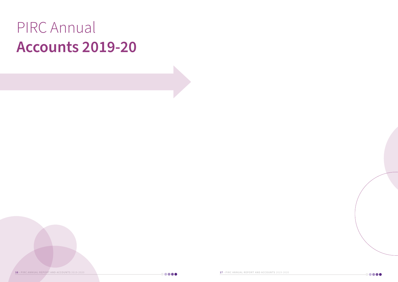

# PIRC Annual **Accounts 2019-20**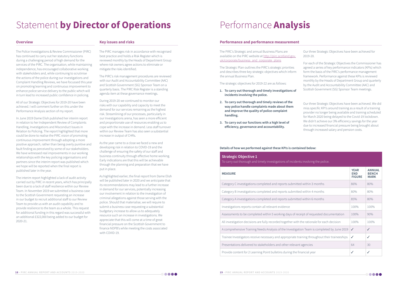

The Police Investigations & Review Commissioner (PIRC) has continued to carry out her statutory functions during a challenging period of high demand for the services of the PIRC. The organisation, while maintaining independence, has encouraged collaborative working with stakeholders and, while continuing to scrutinise the actions of the police during our investigations and Complaint Handling Reviews, we have focussed this year on promoting learning and continuous improvement to enhance police service delivery to the public which will in turn lead to increased public confidence in policing.

All of our Strategic Objectives for 2019-20 have been achieved. I will comment further on this under the Performance Analysis section of my report.

In June 2019 Dame Elish published her interim report in relation to her Independent Review of Complaints Handling, Investigations and Misconduct Issues in Relation to Policing. The report highlighted that more could be done to realise the PIRC vision of promoting continuous improvement through adopting a more positive approach, rather than being overly punitive and fault finding as perceived by some of our stakeholders. We have witnessed real improvements in our working relationships with the key policing organisations and partners since the interim report was published which we hope will be reported when the final report is published later in the year.

The interim report highlighted a lack of audit activity carried out by PIRC in recent years, which has principally been due to a lack of staff resilience within our Review Team. In November 2019 we submitted a business case to the Scottish Government requesting an increase in our budget to recruit additional staff to our Review Team to provide us with an audit capability and to provide resilience to the team as a whole. This request for additional funding in this regard was successful with an additional £322,000 being added to our budget for 2020-21.

The PIRC's Strategic and annual Business Plans are available on the PIRC website at http://pirc.scotland.gov. uk/corporate/business\_and\_corporate\_plans

#### **Overview**

The PIRC manages risk in accordance with recognised best practice and holds a Risk Register which is reviewed monthly by the Heads of Department Group where risk owners agree actions to eliminate or mitigate the risks identified.

The PIRC's risk management procedures are reviewed with our Audit and Accountability Committee (AAC) and Scottish Government (SG) Sponsor Team on a quarterly basis. The PIRC Risk Register is a standing agenda item at these governance meetings.

During 2019-20 we continued to monitor our risks with our capability and capacity to meet the demand for our services remaining as the highest risk. Streamlining of our processes, particularly in our Investigations arena, has seen a more efficient and proportionate use of resources enabling us to cope with the increase in demand. Less staff turnover within our Review Team has also seen a substantial increase in output of CHRs.

As the year came to a close we faced a new and developing risk in relation to COVID-19 and the challenge of ensuring the safety of our staff and business continuity through effective home working. Early indications are that this will be achievable through the planning and preparation that we have put in place.

As highlighted earlier, the final report from Dame Elish will be published later in 2020 and we anticipate that its recommendations may lead to a further increase in demand for our services, potentially increasing our involvement in relation to the investigation of criminal allegations against those serving with the police. Should that materialise, we will require to submit a business case requesting a substantial budgetary increase to allow us to adequately resource such an increase in investigations. We appreciate that this will come at a time of great financial pressure on the Scottish Government to finance NDPB's while meeting the costs associated with COVID-19.

#### **Key issues and risks**

# Statement **by Director of Operations**

The Strategic Plan outlines the PIRC's strategic priorities and describes three key strategic objectives which inform the annual Business Plan.

The strategic objectives for 2019-22 are as follows:

- **1. To carry out thorough and timely investigations of incidents involving the police.**
- **2. To carry out thorough and timely reviews of the way police handle complaints made about them and improve the quality of police complaint handling.**
- **3. To carry out our functions with a high level of efficiency, governance and accountability.**

#### **Performance and performance measurement**

# Performance **Analysis**

Our three Strategic Objectives have been achieved for 2019-20.

For each of the Strategic Objectives the Commissioner has agreed a series of key performance indicators (KPIs) which form the basis of the PIRC's performance management framework. Performance against these KPIs is reviewed monthly by the Heads of Department Group and quarterly by the Audit and Accountability Committee (AAC) and Scottish Government (SG) Sponsor Team meetings.

Our three Strategic Objectives have been achieved. We did miss specific KPI's around training as a result of a training provider no longer being available and training scheduled for March 2020 being delayed to the Covid-19 lockdown. We didn't achieve our 3% efficiency savings for the year due to increased financial pressure being brought about through increased salary and pension costs.

#### **Details of how we performed against these KPIs is contained below:**

#### **Strategic Objective 1**

To carry out thorough and timely investigations of incident

#### **MEASURE**

| Category C investigations completed and reports submitted within 3 months                      | 86%          | 80%  |
|------------------------------------------------------------------------------------------------|--------------|------|
| Category B investigations completed and reports submitted within 4 months                      | 80%          | 80%  |
| Category A investigations completed and reports submitted within 6 months                      | 85%          | 80%  |
| Investigations reports contain all relevant evidence                                           | 100%         | 100% |
| Assessments to be completed within 5 working days of receipt of requested documentation        | 100%         | 90%  |
| All investigation decisions are fully recorded together with the rationale for each decision   | 100%         | 100% |
| A comprehensive Training Needs Analysis of the Investigation Team is completed by June 2019    | $\checkmark$ | ✓    |
| Trainee Investigators receive necessary and appropriate training throughout their traineeships | ✓            | ✓    |
| Presentations delivered to stakeholders and other relevant agencies                            | 64           | 30   |
| Provide content for 2 Learning Point bulletins during the financial year                       |              |      |

| s involving the police.             |                                            |                                              |  |  |
|-------------------------------------|--------------------------------------------|----------------------------------------------|--|--|
|                                     | <b>YEAR</b><br><b>END</b><br><b>FIGURE</b> | <b>ANNUAL</b><br><b>BENCH</b><br><b>MARK</b> |  |  |
| within 3 months                     | 86%                                        | 80%                                          |  |  |
| within 4 months                     | 80%                                        | 80%                                          |  |  |
| within 6 months                     | 85%                                        | 80%                                          |  |  |
|                                     | 100%                                       | 100%                                         |  |  |
| ipt of requested documentation      | 100%                                       | 90%                                          |  |  |
| he rationale for each decision      | 100%                                       | 100%                                         |  |  |
| on Team is completed by June 2019   | ✓                                          | ✓                                            |  |  |
| ining throughout their traineeships | ✓                                          | ✓                                            |  |  |
| agencies                            | 64                                         | 30                                           |  |  |
| ancial year                         | ✓                                          | ✓                                            |  |  |

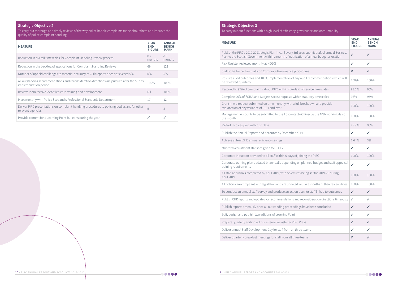#### **Strategic Objective 2**

To carry out thorough and timely reviews of the way police handle complaints made about them and improve the quality of police complaint handling.

| <b>MEASURE</b>                                                                                                       | <b>YEAR</b><br><b>END</b><br><b>FIGURE</b> | <b>ANNUAL</b><br><b>BENCH</b><br><b>MARK</b> |
|----------------------------------------------------------------------------------------------------------------------|--------------------------------------------|----------------------------------------------|
| Reduction in overall timescales for Complaint Handling Review process                                                | 8.7<br>months                              | 8.9<br>months                                |
| Reduction in the backlog of applications for Complaint Handling Reviews                                              | 69                                         | 121                                          |
| Number of upheld challenges to material accuracy of CHR reports does not exceed 5%                                   | $0\%$                                      | 5%                                           |
| All outstanding recommendations and reconsideration directions are pursued after the 56 day<br>implementation period | 100%                                       | 100%                                         |
| Review Team receive identified core training and development                                                         | Nil                                        | 100%                                         |
| Meet monthly with Police Scotland's Professional Standards Department                                                | 17                                         | 12                                           |
| Deliver PIRC presentations on complaint handling procedures to policing bodies and/or other<br>relevant agencies     | 5                                          | 3                                            |
| Provide content for 2 Learning Point bulletins during the year                                                       |                                            |                                              |

#### **Strategic Objective 3**

To carry out our functions with a high level of efficiency, go

#### **MEASURE**

Publish the PIRC's 2019-22 Strategic Plan in April every 3rd year; Plan to the Scottish Government within a month of notification

Risk Register reviewed monthly at HODG

Staff to be trained annually on Corporate Governance proce

Positive audit outcomes and 100% implementation of any a be reviewed quarterly

Respond to 95% of complaints about PIRC within standard

Complete 95% of FOISA and Subject Access requests within

Grant in Aid request submitted on time monthly with a full bare explanation of any variance of £10k and over

Management Accounts to be submitted to the Accountable Officer by the 10th working day of  $\Big| 100\% \Big| 100\%$ 

95% of invoices paid within 10 days

Publish the Annual Reports and Accounts by December 201

Achieve at least 3 % annual efficiency savings

Monthly Recruitment statistics given to HODG

Corporate Induction provided to all staff within 5 days of joing

| vernance and accountability.                                           |                                            |                                              |
|------------------------------------------------------------------------|--------------------------------------------|----------------------------------------------|
|                                                                        | <b>YEAR</b><br><b>END</b><br><b>FIGURE</b> | <b>ANNUAL</b><br><b>BENCH</b><br><b>MARK</b> |
| ear; submit draft of annual Business<br>on of annual budget allocation | J                                          | ✓                                            |
|                                                                        | ✓                                          | ✓                                            |
| edures                                                                 | X                                          | ✓                                            |
| audit recommendations which will                                       | 100%                                       | 100%                                         |
| of service timescales                                                  | 93.5%                                      | 95%                                          |
| statutory timescales                                                   | 98%                                        | 95%                                          |
| preakdown and provide                                                  | 100%                                       | 100%                                         |
| Officer by the 10th working day of                                     | 100%                                       | 100%                                         |
|                                                                        | 98.9%                                      | 95%                                          |
| 9                                                                      | ✓                                          | ✓                                            |
|                                                                        | 1.64%                                      | 3%                                           |
|                                                                        | $\checkmark$                               | ✓                                            |
| ning the PIRC                                                          | 100%                                       | 100%                                         |
| planned budget and staff appraisal                                     | ✓                                          |                                              |
| being set for 2019-20 during                                           | 100%                                       | 100%                                         |
| ithin 3 months of their review dates                                   | 100%                                       | 100%                                         |
| lan for staff linked to outcomes                                       | ✓                                          | ✓                                            |
| reconsideration directions timeously                                   | ✓                                          |                                              |
| shave been concluded                                                   | ✓                                          |                                              |
|                                                                        | ✓                                          | ✓                                            |
| ress                                                                   | ✓                                          | ✓                                            |
| e teams                                                                | ✓                                          | ✓                                            |
| teams                                                                  | X                                          | ✓                                            |

....

Corporate training plan updated bi-annually depending on planned budget and staff appraisal training requirements ✓ ✓

All staff appraisals completed by April 2019, with objectives being set for 2019-20 during  $\left| \begin{array}{c} 100\% \end{array} \right. \left. \begin{array}{c} \end{array} \right|$ 

All policies are compliant with legislation and are updated with

To conduct an annual staff survey and produce an action plane for

Publish CHR reports and updates for recommendations and re

Publish reports timeously once all outstanding proceedings

Edit, design and publish two editions of Learning Point

Prepare quarterly editions of our internal newsletter PIRC Press

Deliver annual Staff Development Day for staff from all three

Deliver quarterly breakfast meetings for staff from all three t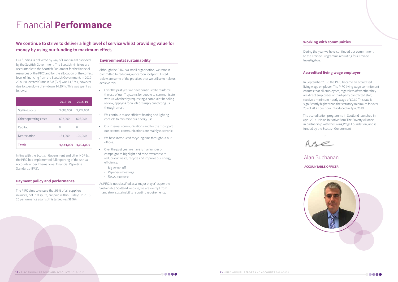# Financial **Performance**

### **We continue to strive to deliver a high level of service whilst providing value for money by using our funding to maximum effect.**

Our funding is delivered by way of Grant in Aid provided by the Scottish Government. The Scottish Ministers are accountable to the Scottish Parliament for the financial resources of the PIRC and for the allocation of the correct level of financing from the Scottish Government. In 2019- 20 our allocated Grant in Aid (GIA) was £4,374k, however due to spend, we drew down £4,394k. This was spent as follows:

|                       | 2019-20   | 2018-19   |
|-----------------------|-----------|-----------|
| Staffing costs        | 3,683,000 | 3,227,000 |
| Other operating costs | 697,000   | 676,000   |
| Capital               | 0         | 0         |
| Depreciation          | 164,000   | 100,000   |
| Total:                | 4,544,000 | 4,003,000 |

In line with the Scottish Government and other NDPBs, the PIRC has implemented full reporting of the Annual Accounts under International Financial Reporting Standards (IFRS).

The PIRC aims to ensure that 95% of all suppliers invoices, not in dispute, are paid within 10 days. In 2019- 20 performance against this target was 98.9%.

#### **Payment policy and performance**

Although the PIRC is a small organisation, we remain committed to reducing our carbon footprint. Listed below are some of the practises that we utilise to help us achieve this:

- Over the past year we have continued to reinforce the use of our IT systems for people to communicate with us whether by requesting a complaint handling review, applying for a job or simply contacting us through email.
- We continue to use efficient heating and lighting controls to minimise our energy use.
- Our internal communications and for the most part our external communications are mainly electronic.
- We have introduced recycling bins throughout our offices.
- Over the past year we have run a number of campaigns to highlight and raise awareness to reduce our waste, recycle and improve our energy efficiency:
	- Big switch off
	- Paperless meetings
	- Recycling more

As PIRC is not classified as a 'major player' as per the Sustainable Scotland website, we are exempt from mandatory sustainability reporting requirements.

#### **Environmental sustainability**

During the year we have continued our commitment to the Trainee Programme recruiting four Trainee Investigators.

#### **Working with communities**

In September 2017, the PIRC became an accredited living wage employer. The PIRC living wage commitment ensures that all employees, regardless of whether they are direct employees or third-party contracted staff, receive a minimum hourly wage of £9.30 This rate is significantly higher than the statutory minimum for over 25s of £8.21 per hour introduced in April 2019.

The accreditation programme in Scotland launched in April 2014. It is an initiative from The Poverty Alliance, in partnership with the Living Wage Foundation, and is funded by the Scottish Government

Ase

#### **Accredited living wage employer**

### Alan Buchanan

#### **ACCOUNTABLE OFFICER**



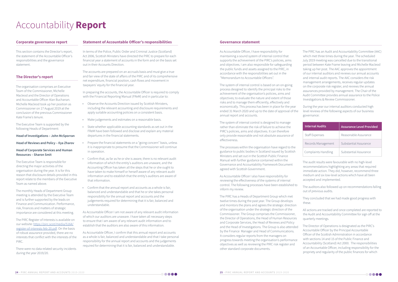This section contains the Director's report, the statement of the Accountable Officer's responsibilities and the governance statement.

#### **Corporate governance report**

# Accountability **Report**

The organisation comprises an Executive Team of the Commissioner, Michelle Macleod and the Director of Operations and Accountable Officer Alan Buchanan. Michelle Macleod took up her position as Commissioner on 17 August 2019 at the conclusion of the previous Commissioner Kate Frame's tenure.

The Executive Team is supported by the following Heads of Department:

#### **Head of Investigations – John McSporran**

**Head of Reviews and Policy – Ilya Zharov** 

#### **Head of Corporate Services and Human Resources – Sharon Smit**

The Executive Team is responsible for directing the major activities of the organisation during the year. It is for this reason that disclosure details provided in this report relate to the members of the Executive Team as named above.

The monthly Heads of Department Group meeting is attended by the Executive Team and is further supported by the leads on Finance and Communication. Performance, risk, finances and matters of strategic importance are considered at this meeting.

The PIRC Register of Interests is available on our website: https://pirc.scot/media/5164/ register-of-interests-feb-20.pdf. On the basis of robust assurance provided, there are no interests that conflict with the interests of the PIRC.

There were no data related security incidents during the year 2019/20.

#### **The Director's report**

In terms of the Police, Public Order and Criminal Justice (Scotland) Act 2006, Scottish Ministers have directed the PIRC to prepare for each financial year a statement of accounts in the form and on the basis set out in their Accounts Direction.

The accounts are prepared on an accruals basis and must give a true and fair view of the state of affairs of the PIRC and of its comprehensive net expenditure, financial position, cash flows and movement in taxpayers' equity for the financial year.

In preparing the accounts, the Accountable Officer is required to comply with the Financial Reporting Manual (FReM) and in particular to:

- Observe the Accounts Direction issued by Scottish Ministers, including the relevant accounting and disclosure requirements and apply suitable accounting policies on a consistent basis.
- Make judgements and estimates on a reasonable basis.
- State whether applicable accounting standards as set out in the FReM have been followed and disclose and explain any material departures in the financial statements.
- Prepare the financial statements on a "going concern" basis, unless it is inappropriate to presume that the Commissioner will continue in operation.
- Confirm that, as far as he or she is aware, there is no relevant audit information of which the entity's auditors are unaware, and the Accounting Officer has taken all the steps that he or she ought to have taken to make himself or herself aware of any relevant audit information and to establish that the entity's auditors are aware of that information.
- Confirm that the annual report and accounts as a whole is fair, balanced and understandable and that he or she takes personal responsibility for the annual report and accounts and the judgements required for determining that it is fair, balanced and understandable.

As Accountable Officer I am not aware of any relevant audit information of which our auditors are unaware. I have taken all necessary steps to ensure that I am aware of any relevant audit information and to establish that the auditors are also aware of this information.

As Accountable Officer, I confirm that this annual report and accounts as a whole is fair, balanced and understandable and that I take personal responsibility for the annual report and accounts and the judgements required for determining that it is fair, balanced and understandable.

#### **Statement of Accountable Officer's responsibilities**

As Accountable Officer, I have responsibility for maintaining a sound system of internal control that supports the achievement of the PIRC's policies, aims and objectives. I am also responsible for safeguarding the public funds and assets assigned to the PIRC, in accordance with the responsibilities set out in the "Memorandum to Accountable Officers".

The system of internal control is based on an on-going process designed to identify the principal risks to the achievement of the organisation's policies, aims and objectives; to evaluate the nature and extent of those risks and to manage them efficiently, effectively and economically. This process has been in place for the year ended 31 March 2020 and up to the date of approval of the annual report and accounts.

The system of internal control is designed to manage rather than eliminate the risk of failure to achieve the PIRC's policies, aims and objectives. It can therefore only provide reasonable and not absolute assurance of effectiveness.

The processes within the organisation have regard to the guidance to public bodies in Scotland issued by Scottish Ministers and set out in the Scottish Public Finance Manual with further guidance contained within the Governance and Accountability Framework Document agreed with Scottish Government.

As Accountable Officer I also have responsibility for reviewing the effectiveness of the systems of internal control. The following processes have been established to inform my review.

The PIRC has a Heads of Department Group which met twelve times during the past year. The Group develops and monitors the plans and agrees the strategic direction of the organisation under the strategic direction of the Commissioner. The Group comprises the Commissioner, the Director of Operations, the Head of Human Resources and Corporate Services, the Head of Reviews and Policy and the Head of Investigations. The Group is also attended by the Finance Manager and Head of Communications. It considers regular reports from the managers on progress towards meeting the organisation's performance objectives as well as reviewing the PIRC risk register and other standard corporate documents.

#### **Governance statement**

The PIRC has an Audit and Accountability Committee (AAC) which met three times during the year. The scheduled July 2019 meeting was cancelled due to the transitional period between Kate Frame leaving and Michelle Macleod taking up her post. The AAC approves the appointment of our internal auditors and reviews our annual accounts and internal audit reports. The AAC considers the risk management arrangements, receives regular updates on the corporate risk register, and reviews the annual assurances provided by management. The Chair of the Audit Committee provides annual assurance to the Police Investigations & Review Commissioner.

During the year our internal auditors conducted high level reviews of the following aspects of our business governance:

| <b>Internal Audits</b>     | <b>Assurance Level Provided</b> |
|----------------------------|---------------------------------|
| Staff Expenses             | Reasonable Assurance            |
| Records Management         | Substantial Assurance           |
| <b>Complaints Handling</b> | Substantial Assurance           |

The audit results were favourable with no high-level recommendations highlighting any areas that required immediate action. They did, however, recommend three medium and six low-level actions which have all been accepted and implemented.

The auditors also followed up on recommendations falling out of previous audits.

They concluded that we had made good progress with these.

All actions are tracked and once completed are reported to the Audit and Accountability Committee for sign off at the quarterly meetings.

The Director of Operations is designated as the PIRC's Accountable Officer by the Principal Accountable Officer of the Scottish Administration in accordance with sections 14 and 15 of the Public Finance and Accountability (Scotland) Act 2000. The responsibilities of an Accountable Officer, including responsibility for the propriety and regularity of the public finances for which

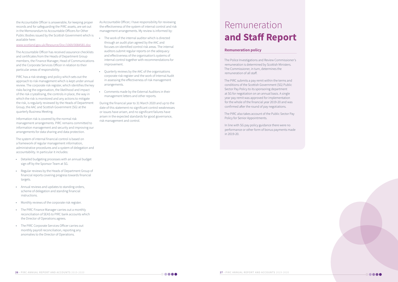

the Accountable Officer is answerable, for keeping proper records and for safeguarding the PIRC assets, are set out in the Memorandum to Accountable Officers for Other Public Bodies issued by the Scottish Government which is available here:

www.scotland.gov.uk/Resource/Doc/1069/0084581.doc

The Accountable Officer has received assurance checklists and certificates from the Heads of Department Group members, the Finance Manager, Head of Communications and the Corporate Services Officer in relation to their particular areas of responsibility.

PIRC has a risk strategy and policy which sets out the approach to risk management which is kept under annual review. The corporate risk register, which identifies the key risks facing the organisation, the likelihood and impact of the risk crystallising, the controls in place, the way in which the risk is monitored and any actions to mitigate the risk, is regularly reviewed by the Heads of Department Group, the AAC and Scottish Government (SG) at the quarterly Business Meeting.

Information risk is covered by the normal risk management arrangements. PIRC remains committed to information management and security and improving our arrangements for data sharing and data protection.

The system of internal financial control is based on a framework of regular management information, administrative procedures and a system of delegation and accountability. In particular it includes:

- Detailed budgeting processes with an annual budget sign off by the Sponsor Team at SG.
- Regular reviews by the Heads of Department Group of financial reports covering progress towards financial targets.
- Annual reviews and updates to standing orders, scheme of delegation and standing financial instructions.
- Monthly reviews of the corporate risk register.
- The PIRC Finance Manager carries out a monthly reconciliation of SEAS to PIRC bank accounts which the Director of Operations agrees.
- The PIRC Corporate Services Officer carries out monthly payroll reconciliation, reporting any anomalies to the Director of Operations.

As Accountable Officer, I have responsibility for reviewing the effectiveness of the system of internal control and risk management arrangements. My review is informed by:

- The work of the internal auditor which is directed through an audit plan agreed by the AAC and focuses on identified control risk areas. The internal auditors submit regular reports on the adequacy and effectiveness of the organisation's systems of internal control together with recommendations for improvement.
- Quarterly reviews by the AAC of the organisations corporate risk register and the work of Internal Audit in assessing the effectiveness of risk management arrangements.
- Comments made by the External Auditors in their management letters and other reports.

During the financial year to 31 March 2020 and up to the date of this statement no significant control weaknesses or issues have arisen, and no significant failures have arisen in the expected standards for good governance, risk management and control.

The Police Investigations and Review Commissioner's remuneration is determined by Scottish Ministers. The Commissioner, in turn, determines the remuneration of all staff.

The PIRC submits a pay remit within the terms and conditions of the Scottish Government (SG) Public Sector Pay Policy to its sponsoring department at SG for negotiation on an annual basis. A single year pay remit was approved for implementation for the whole of the financial year 2019-20 and was confirmed after the round of pay negotiations.

The PIRC also takes account of the Public Sector Pay Policy for Senior Appointments.

In line with SG pay policy guidance there were no performance or other form of bonus payments made in 2019-20.

#### **Remuneration policy**

# Remuneration **and Staff Report**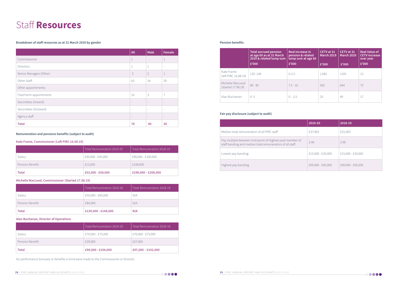

#### **Breakdown of staff resources as at 31 March 2020 by gender**

# Staff **Resources**

|                         | All                      | <b>Male</b>              | Female                   |
|-------------------------|--------------------------|--------------------------|--------------------------|
| Commissioner            | $\mathbf 1$              |                          | $\mathbf 1$              |
| Directors               | 1                        | $\mathbf{1}$             | $\overline{\phantom{a}}$ |
| Senior Managers (Other) | 3                        | $\overline{2}$           | $\mathbf 1$              |
| Other Staff:            | 63                       | 34                       | 29                       |
| Other appointments:     |                          |                          |                          |
| Fixed term appointments | 10                       | 3                        | 7                        |
| Secondees (Inward)      | $\overline{\phantom{a}}$ | $\sim$                   | $\sim$                   |
| Secondees (Outward)     | $\overline{\phantom{a}}$ | $\overline{\phantom{a}}$ | $\overline{\phantom{a}}$ |
| Agency staff            |                          | $\overline{\phantom{a}}$ | $\overline{\phantom{a}}$ |
| <b>Total</b>            | 78                       | 40                       | 38                       |

#### **Remuneration and pensions benefits (subject to audit)**

|                        | Total Remuneration 2019-20 | Total Remuneration 2018-19 |
|------------------------|----------------------------|----------------------------|
| Salary                 | £40,000 - £45,000          | £90,000 - £100,000         |
| <b>Pension Benefit</b> | £13,000                    | £108,000                   |
| Total                  | £53,000 - £58,000          | $£198,000 - £208,000$      |

#### **Kate Frame, Commissioner (Left PIRC 16.08.19)**

|                 | Total Remuneration 2019-20 | Total Remuneration 2018-19 |
|-----------------|----------------------------|----------------------------|
| Salary          | £55,000 - £60,000          | N/A                        |
| Pension Benefit | £84,000                    | N/A                        |
| <b>Total</b>    | £139,000 - £144,000        | N/A                        |

#### **Michelle MacLeod, Commissioner (Started 17.08.19)**

No performance bonuses or benefits in kind were made to the Commissioner or Director.

|                                        | <b>Total accrued pension</b><br>at age 60 as at 31 March<br>2020 & related lump sum<br>£'000 | Real increase in<br>pension & related<br>lump sum at age 60<br>£'000 | CETV at 31<br><b>March 2019</b><br>£'000 | CETV at 31<br><b>March 2020</b><br>£'000 | <b>Real Value of</b><br><b>CETV</b> increase<br>over year<br>£'000 |
|----------------------------------------|----------------------------------------------------------------------------------------------|----------------------------------------------------------------------|------------------------------------------|------------------------------------------|--------------------------------------------------------------------|
| Kate Frame<br>(left PIRC 16.08.19)     | $135 - 140$                                                                                  | $0 - 2.5$                                                            | 1,081                                    | 1105                                     | 13                                                                 |
| Michelle MacLeod<br>(started 17.08.19) | $80 - 85$                                                                                    | $7.5 - 10$                                                           | 562                                      | 644                                      | 72                                                                 |
| Alan Buchanan                          | $0 - 5$                                                                                      | $0 - 2.5$                                                            | 25                                       | 49                                       | 17                                                                 |

#### **Pension benefits**

|                                                                                                                      | 2019-20             | 2018-19             |
|----------------------------------------------------------------------------------------------------------------------|---------------------|---------------------|
| Median total remuneration of all PIRC staff                                                                          | £37,963             | £31,693             |
| Pay multiple between mid-point of Highest paid member of<br>staff banding and median total remuneration of all staff | 2.46                | 2.96                |
| Lowest pay banding:                                                                                                  | $£15,000 - £20,000$ | $£15,000 - £20,000$ |
| Highest pay banding                                                                                                  | £90,000 - £95,000   | £90,000 - £95,000   |

#### **Fair pay disclosure (subject to audit)**

|                 | Total Remuneration 2019-20 | Total Remuneration 2018-19 |
|-----------------|----------------------------|----------------------------|
| Salary          | £70,000 - £75,000          | £70,000 - £75,000          |
| Pension Benefit | £29,000                    | £27,000                    |
| Total           | £99,000 - £104,000         | $£97,000 - £102,000$       |

#### **Alan Buchanan, Director of Operations**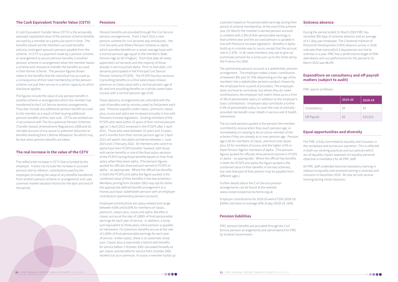A Cash Equivalent Transfer Value (CETV) is the actuarially assessed capitalised value of the pension scheme benefits accrued by a member at a particular point in time. The benefits valued are the member's accrued benefits and any contingent spouse's pension payable from the scheme. A CETV is a payment made by a pension scheme or arrangement to secure pension benefits in another pension scheme or arrangement when the member leaves a scheme and chooses to transfer the benefits accrued in their former scheme. The pension figures shown relate to the benefits that the individual has accrued as a consequence of their total membership of the pension scheme, not just their service in a senior capacity to which disclosure applies.

The figures include the value of any pension benefit in another scheme or arrangement which the member has transferred to the Civil Service pension arrangements. They also include any additional pension benefit accrued to the member as a result of their buying additional pension benefits at their own cost. CETVs are worked out in accordance with The Occupational Pension Schemes (Transfer Values) (Amendment) Regulations 2008 and do not take account of any actual or potential reduction to benefits resulting from Lifetime Allowance Tax which may be due when pension benefits are taken.

#### **The Cash Equivalent Transfer Value (CETV)**

This reflects the increase in CETV that is funded by the employer. It does not include the increase in accrued pension due to inflation, contributions paid by the employee (including the value of any benefits transferred from another pension scheme or arrangement) and uses common market valuation factors for the start and end of the period.

#### **The real increase in the value of the CETV**

Pension benefits are provided through the Civil Service pension arrangements. From 1 April 2015 a new pension scheme for civil servants was introduced – the Civil Servants and Others Pension Scheme or alpha, which provides benefits on a career average basis with a normal pension age equal to the member's State Pension Age (or 65 if higher). From that date all newly appointed civil servants and the majority of those already in service joined alpha. Prior to that date, civil servants participated in the Principal Civil Service Pension Scheme (PCSPS). The PCSPS has four sections: 3 providing benefits on a final salary basis (classic, premium or classic plus) with a normal pension age of 60; and one providing benefits on a whole career basis (nuvos) with a normal pension age of 65.

**Pensions** a pension based on his pensionable earnings during their period of scheme membership. At the end of the scheme year (31 March) the member's earned pension account is credited with 2.3% of their pensionable earnings in that scheme year and the accrued pension is uprated in line with Pensions Increase legislation. Benefits in alpha build up in a similar way to nuvos, except that the accrual rate in 2.32%. In all cases members may opt to give up (commute) pension for a lump sum up to the limits set by the Finance Act 2004.

These statutory arrangements are unfunded with the cost of benefits met by monies voted by Parliament each year. Pensions payable under classic, premium, classic plus, nuvos and alpha are increased annually in line with Pensions Increase legislation. Existing members of the PCSPS who were within 10 years of their normal pension age on 1 April 2012 remained in the PCSPS after 1 April 2015. Those who were between 10 years and 13 years and 5 months from their normal pension age on 1 April 2012 will switch into alpha sometime between 1 June 2015 and 1 February 2022. All members who switch to alpha have their PCSPS benefits 'banked', with those with earlier benefits in one of the final salary sections of the PCSPS having those benefits based on their final salary when they leave alpha. (The pension figures quoted for officials show pension earned in PCSPS or alpha – as appropriate. Where the official has benefits in both the PCSPS and alpha the figure quoted is the combined value of their benefits in the two schemes.) Members joining from October 2002 may opt for either the appropriate defined benefit arrangement or a 'money purchase' stakeholder pension with an employer contribution (partnership pension account).

Employee contributions are salary-related and range between 4.6% and 8.05% for members of classic, premium, classic plus, nuvos and alpha. Benefits in classic accrue at the rate of 1/80th of final pensionable earnings for each year of service. In addition, a lump sum equivalent to three years initial pension is payable on retirement. For premium, benefits accrue at the rate of 1/60th of final pensionable earnings for each year of service. Unlike classic, there is no automatic lump sum. Classic plus is essentially a hybrid with benefits for service before 1 October 2002 calculated broadly as per classic and benefits for service from October 2002 worked out as in premium. In nuvos a member builds up The partnership pension account is a stakeholder pension arrangement. The employer makes a basic contribution of between 8% and 14.75% (depending on the age of the member) into a stakeholder pension product chosen by the employee from a panel of providers. The employee does not have to contribute, but where they do make contributions, the employer will match these up to a limit of 3% of pensionable salary (in addition to the employer's basic contribution). Employers also contribute a further 0.5% of pensionable salary to cover the cost of centrallyprovided risk benefit cover (death in service and ill health retirement).

The accrued pension quoted is the pension the member is entitled to receive when they reach pension age, or immediately on ceasing to be an active member of the scheme if they are already at or over pension age. Pension age is 60 for members of classic, premium and classic plus, 65 for members of nuvos, and the higher of 65 or State Pension Age for members of alpha. (The pension figures quoted for officials show pension earned in PCSPS or alpha – as appropriate. Where the official has benefits in both the PCSPS and alpha the figure quoted is the combined value of their benefits in the two schemes, but note that part of that pension may be payable from different ages.)

Further details about the Civil Service pension arrangements can be found at the website www.civilservicepensionscheme.org.uk

Employer contributions for 2019-20 were £722k (2018-19: £504k) and were on average 20% of pay (2018-19: 16%).

PIRC pension benefits are provided through the Civil Service pension arrangements and administered for PIRC by Scottish Government.

#### **Pension liabilities**

During the period ended 31 March 2020 PIRC has recorded 365 days of sickness absence and an average of 4.7 days per employee. The Chartered Institute of Personnel Development (CIPD) absence survey in 2016 indicates that nationally 6.3 days/person are lost to sickness in a year. PIRC has a performance target of 95% attendance and our performance for the period to 31 March 2020 was 98.2%.

#### **Sickness absence**

PIRC spend as follows:

#### **Expenditure on consultancy and off payroll matters (subject to audit)**

|              | 2019-20 | 2018-19 |
|--------------|---------|---------|
| Consultancy: | £0      | £Ο      |
| Off Payroll: | f()     | £25,210 |

The PIRC is fully committed to equality and inclusion in the workplace and across our operation. This is reflected in both our working practices and our policies which are all equality impact assessed. An equality personal objective is mandatory for all PIRC staff.

All PIRC staff undertake biennial mandatory training in relation to equality and received training in diversity and inclusion in December 2019. All new recruits receive training during initial induction.



#### **Equal opportunities and diversity**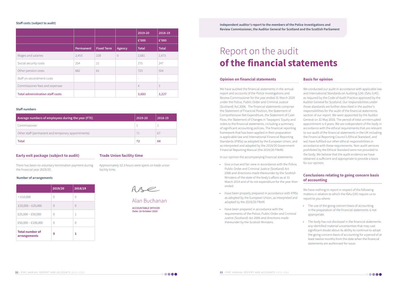#### **Staff costs (subject to audit)**

|                                         |           |                   |        | 2019-20                  | 2018-19                  |
|-----------------------------------------|-----------|-------------------|--------|--------------------------|--------------------------|
|                                         |           |                   |        | £'000                    | £'000                    |
|                                         | Permanent | <b>Fixed Term</b> | Agency | <b>Total</b>             | <b>Total</b>             |
| Wages and salaries                      | 2,453     | 228               |        | 2,681                    | 2,473                    |
| Social security costs                   | 254       | 21                |        | 275                      | 247                      |
| Other pension costs                     | 662       | 61                |        | 723                      | 504                      |
| Staff on secondment costs               |           |                   |        | $\overline{\phantom{a}}$ | $\overline{\phantom{a}}$ |
| Commissioner fees and expenses          |           |                   |        | $\overline{4}$           | 3                        |
| <b>Total administration staff costs</b> |           |                   |        | 3,683                    | 3,227                    |

#### **Staff numbers**

| Average numbers of employees during the year (FTE) | 2019-20 | 2018-19 |
|----------------------------------------------------|---------|---------|
| Commissioner                                       |         |         |
| Other staff (permanent and temporary appointments) |         | 67      |
| <b>Total</b>                                       |         | 68      |

There has been no voluntary termination payment during the financial year 2019/20.

#### **Early exit package (subject to audit)**

|                                        | 2019/20          | 2018/19 |
|----------------------------------------|------------------|---------|
| $<$ £10,000                            | Λ                | C       |
| $£10,000 - £25,000$                    | $\left( \right)$ | C       |
| £25,000 - £50,000                      | Λ                | 1       |
| $£50,000 - £100,000$                   | Ω                | Λ       |
| <b>Total number of</b><br>arrangements | ი                | 1       |

#### **Number of arrangements**

Approximately 52.3 hours were spent on trade union facility time.

Ase

#### **Trade Union facility time**

# Report on the audit **of the financial statements**

**Independent auditor's report to the members of the Police Investigations and Review Commissioner, the Auditor General for Scotland and the Scottish Parliament**

We have audited the financial statements in the annual report and accounts of the Police Investigations and Review Commissioner for the year ended 31 March 2020 under the Police, Public Order and Criminal Justice (Scotland) Act 2006. The financial statements comprise the Statement of Financial Position, the Statement of Comprehensive Net Expenditure, the Statement of Cash Flow, the Statement of Changes in Taxpayers' Equity and notes to the financial statements, including a summary of significant accounting policies. The financial reporting framework that has been applied in their preparation is applicable law and International Financial Reporting Standards (IFRSs) as adopted by the European Union, and as interpreted and adapted by the 2019/20 Government Financial Reporting Manual (the 2019/20 FReM).

In our opinion the accompanying financial statements:

- Give a true and fair view in accordance with the Police, Public Order and Criminal Justice (Scotland) Act 2006 and directions made thereunder by the Scottish Ministers of the state of the body's affairs as at 31 March 2019 and of its net expenditure for the year then ended.
- Have been properly prepared in accordance with IFRSs as adopted by the European Union, as interpreted and adapted by the 2019/20 FReM.
- Have been prepared in accordance with the requirements of the Police, Public Order and Criminal Justice (Scotland) Act 2006 and directions made thereunder by the Scottish Ministers.

#### **Opinion on financial statements**

We conducted our audit in accordance with applicable law and International Standards on Auditing (UK) (ISAs (UK)), as required by the Code of Audit Practice approved by the Auditor General for Scotland. Our responsibilities under those standards are further described in the auditor's responsibilities for the audit of the financial statements section of our report. We were appointed by the Auditor General on 31 May 2016. The period of total uninterrupted appointment is 4 years. We are independent of the body in accordance with the ethical requirements that are relevant to our audit of the financial statements in the UK including the Financial Reporting Council's Ethical Standard, and we] have fulfilled our other ethical responsibilities in accordance with these requirements. Non-audit services prohibited by the Ethical Standard were not provided to the body. We believe that the audit evidence we have obtained is sufficient and appropriate to provide a basis for our opinion.

#### **Basis for opinion**

We have nothing to report in respect of the following matters in relation to which the ISAs (UK) require us to report to you where:

- The use of the going concern basis of accounting in the preparation of the financial statements is not appropriate.
- The body has not disclosed in the financial statements any identified material uncertainties that may cast significant doubt about its ability to continue to adopt the going concern basis of accounting for a period of at least twelve months from the date when the financial statements are authorised for issue.



#### **Conclusions relating to going concern basis of accounting**

Alan Buchanan **ACCOUNTABLE OFFICER Date: 26 October 2020**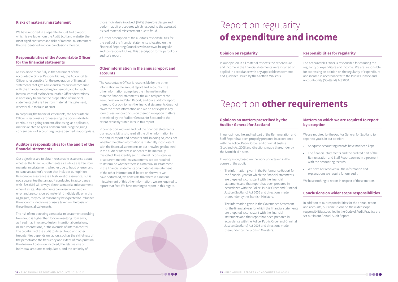We have reported in a separate Annual Audit Report, which is available from the Audit Scotland website, the most significant assessed risks of material misstatement that we identified and our conclusions thereon.

#### **Risks of material misstatement**

As explained more fully in the Statement of the Accountable Officer Responsibilities, the Accountable Officer is responsible for the preparation of financial statements that give a true and fair view in accordance with the financial reporting framework, and for such internal control as the Accountable Officer determines is necessary to enable the preparation of financial statements that are free from material misstatement, whether due to fraud or error.

In preparing the financial statements, the Accountable Officer is responsible for assessing the body's ability to continue as a going concern, disclosing, as applicable, matters related to going concern and using the going concern basis of accounting unless deemed inappropriate.

#### **Responsibilities of the Accountable Officer for the financial statements**

Our objectives are to obtain reasonable assurance about whether the financial statements as a whole are free from material misstatement, whether due to fraud or error, and to issue an auditor's report that includes our opinion. Reasonable assurance is a high level of assurance, but is not a guarantee that an audit conducted in accordance with ISAs (UK) will always detect a material misstatement when it exists. Misstatements can arise from fraud or error and are considered material if, individually or in the aggregate, they could reasonably be expected to influence the economic decisions of users taken on the basis of these financial statements.

The risk of not detecting a material misstatement resulting from fraud is higher than for one resulting from error, as fraud may involve collusion, intentional omissions, misrepresentations, or the override of internal control. The capability of the audit to detect fraud and other irregularities depends on factors such as the skilfulness of the perpetrator, the frequency and extent of manipulation, the degree of collusion involved, the relative size of individual amounts manipulated, and the seniority of

#### **Auditor's responsibilities for the audit of the financial statements**

those individuals involved. [I/We] therefore design and perform audit procedures which respond to the assessed risks of material misstatement due to fraud.

A further description of the auditor's responsibilities for the audit of the financial statements is located on the Financial Reporting Council's website www.frc.org.uk/ auditorsresponsibilities. This description forms part of our auditor's report.

The Accountable Officer is responsible for the other information in the annual report and accounts. The other information comprises the information other than the financial statements, the audited part of the Remuneration and Staff Report, and our auditor's report thereon. Our opinion on the financial statements does not cover the other information and we do not express any form of assurance conclusion thereon except on matters prescribed by the Auditor General for Scotland to the extent explicitly stated later in this report.

In connection with our audit of the financial statements, our responsibility is to read all the other information in the annual report and accounts and, in doing so, consider whether the other information is materially inconsistent with the financial statements or our knowledge obtained in the audit or otherwise appears to be materially misstated. If we identify such material inconsistencies or apparent material misstatements, we are required to determine whether there is a material misstatement in the financial statements or a material misstatement of the other information. If, based on the work we have performed, we conclude that there is a material misstatement of this other information, we are required to report that fact. We have nothing to report in this regard.

#### **Other information in the annual report and accounts**

# Report on regularity **of expenditure and income**

In our opinion in all material respects the expenditure and income in the financial statements were incurred or applied in accordance with any applicable enactments and guidance issued by the Scottish Ministers.

#### **Opinion on regularity**

The Accountable Officer is responsible for ensuring the regularity of expenditure and income. We are responsible for expressing an opinion on the regularity of expenditure and income in accordance with the Public Finance and Accountability (Scotland) Act 2000.

#### **Responsibilities for regularity**

### Report on **other requirements**

In our opinion, the audited part of the Remuneration and Staff Report has been properly prepared in accordance with the Police, Public Order and Criminal Justice (Scotland) Act 2006 and directions made thereunder by the Scottish Ministers.

In our opinion, based on the work undertaken in the course of the audit:

- The information given in the Performance Report for the financial year for which the financial statements are prepared is consistent with the financial statements and that report has been prepared in accordance with the Police, Public Order and Criminal Justice (Scotland) Act 2006 and directions made thereunder by the Scottish Ministers.
- The information given in the Governance Statement for the financial year for which the financial statements are prepared is consistent with the financial statements and that report has been prepared in accordance with the Police, Public Order and Criminal Justice (Scotland) Act 2006 and directions made thereunder by the Scottish Ministers.

#### **Opinions on matters prescribed by the Auditor General for Scotland**

We are required by the Auditor General for Scotland to report to you if, in our opinion:

- Adequate accounting records have not been kept.
- The financial statements and the audited part of the Remuneration and Staff Report are not in agreement with the accounting records.
- We have not received all the information and explanations we require for our audit.

We have nothing to report in respect of these matters.

#### **Matters on which we are required to report by exception**

In addition to our responsibilities for the annual report and accounts, our conclusions on the wider scope responsibilities specified in the Code of Audit Practice are set out in our Annual Audit Report.



#### **Conclusions on wider scope responsibilities**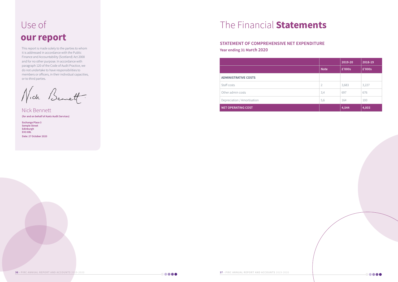# Use of **our report**

This report is made solely to the parties to whom it is addressed in accordance with the Public Finance and Accountability (Scotland) Act 2000 and for no other purpose. In accordance with paragraph 120 of the Code of Audit Practice, we do not undertake to have responsibilities to members or officers, in their individual capacities, or to third parties.

Nich Bennett

# The Financial **Statements**

### **STATEMENT OF COMPREHENSIVE NET EXPENDITURE Year ending 31 March 2020**

|                             |                | 2019-20 | 2018-19 |
|-----------------------------|----------------|---------|---------|
|                             | <b>Note</b>    | £'000s  | £'000s  |
| <b>ADMINISTRATIVE COSTS</b> |                |         |         |
| Staff costs                 | $\overline{2}$ | 3,683   | 3,227   |
| Other admin costs           | 3,4            | 697     | 676     |
| Depreciation / Amortisation | 5,6            | 164     | 100     |
| <b>NET OPERATING COST</b>   |                | 4,544   | 4,003   |

....

| ADMINISTRATIVE COSTS |  |
|----------------------|--|

Other admin costs

Nick Bennett **(for and on behalf of Azets Audit Services)**

**Exchange Place 3 Semple Street Edinburgh EH3 8BL Date: 27 October 2020**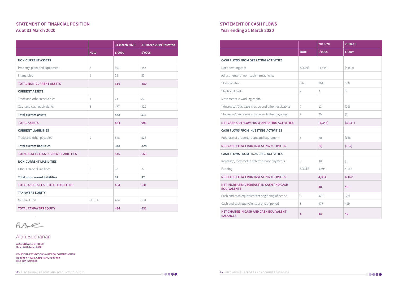

|                                              |                | 31 March 2020 | 31 March 2019 Restated |
|----------------------------------------------|----------------|---------------|------------------------|
|                                              | <b>Note</b>    | £'000s        | £'000s                 |
| <b>NON-CURRENT ASSETS</b>                    |                |               |                        |
| Property, plant and equipment                | 5              | 301           | 457                    |
| Intangibles                                  | 6              | 15            | 23                     |
| <b>TOTAL NON-CURRENT ASSETS</b>              |                | 316           | 480                    |
| <b>CURRENT ASSETS</b>                        |                |               |                        |
| Trade and other receivables                  | $\overline{7}$ | 71            | 82                     |
| Cash and cash equivalents                    | $\,8\,$        | 477           | 429                    |
| <b>Total current assets</b>                  |                | 548           | 511                    |
| <b>TOTAL ASSETS</b>                          |                | 864           | 991                    |
| <b>CURRENT LIABILITIES</b>                   |                |               |                        |
| Trade and other payables                     | $\mathcal{G}$  | 348           | 328                    |
| <b>Total current liabilities</b>             |                | 348           | 328                    |
| <b>TOTAL ASSETS LESS CURRENT LIABILITIES</b> |                | 516           | 663                    |
| <b>NON-CURRENT LIABILITIES</b>               |                |               |                        |
| Other Financial liabilities                  | 9              | 32            | 32                     |
| <b>Total non-current liabilities</b>         |                | 32            | 32                     |
| <b>TOTAL ASSETS LESS TOTAL LIABILITIES</b>   |                | 484           | 631                    |
| <b>TAXPAYERS EQUITY</b>                      |                |               |                        |
| General Fund                                 | SOCTE          | 484           | 631                    |
| <b>TOTAL TAXPAYERS EQUITY</b>                |                | 484           | 631                    |

 $Ase$ 

### **STATEMENT OF FINANCIAL POSITION As at 31 March 2020**

### **STATEMENT OF CASH FLOWS Year ending 31 March 2020**

|                                                                |             | 2019-20  | 2018-19 |
|----------------------------------------------------------------|-------------|----------|---------|
|                                                                | <b>Note</b> | £'000s   | £'000s  |
| <b>CASH FLOWS FROM OPERATING ACTIVITIES</b>                    |             |          |         |
| Net operating cost                                             | SOCNE       | (4, 544) | (4,003) |
| Adjustments for non-cash transactions:                         |             |          |         |
| * Depreciation                                                 | 5,6         | 164      | 100     |
| * Notional costs                                               | 4           | 3        | 3       |
| Movements in working capital                                   |             |          |         |
| * (Increase)/Decrease in trade and other receivables           | 7           | 11       | (29)    |
| * Increase/(Decrease) in trade and other payables              | 9           | 20       | (8)     |
| <b>NET CASH OUTFLOW FROM OPERATING ACTIVITIES</b>              |             | (4, 346) | (3,937) |
| <b>CASH FLOWS FROM INVESTING ACTIVITIES</b>                    |             |          |         |
| Purchase of property, plant and equipment                      | 5           | (0)      | (185)   |
| <b>NET CASH FLOW FROM INVESTING ACTIVITIES</b>                 |             | (0)      | (185)   |
| <b>CASH FLOWS FROM FINANCING ACTIVITIES</b>                    |             |          |         |
| Increase/(Decrease) in deferred lease payments                 | 9           | (0)      | (0)     |
| Funding                                                        | SOCTE       | 4,394    | 4,162   |
| <b>NET CASH FLOW FROM INVESTING ACTIVITIES</b>                 |             | 4,394    | 4,162   |
| NET INCREASE/(DECREASE) IN CASH AND CASH<br><b>EQUIVALENTS</b> |             | 48       | 40      |
| Cash and cash equivalents at beginning of period               | 8           | 429      | 389     |
| Cash and cash equivalents at end of period                     | 8           | 477      | 429     |
| NET CHANGE IN CASH AND CASH EQUIVALENT<br><b>BALANCES</b>      | 8           | 48       | 40      |

Alan Buchanan

**POLICE INVESTIGATIONS & REVIEW COMMISSIONER Hamilton House, Caird Park, Hamilton ML3 0QA Scotland**

**ACCOUNTABLE OFFICER Date: 26 October 2020**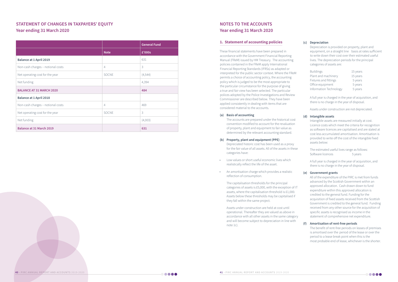|                                   |                | <b>General Fund</b> |
|-----------------------------------|----------------|---------------------|
|                                   | <b>Note</b>    | £'000s              |
| <b>Balance at 1 April 2019</b>    |                | 631                 |
| Non-cash charges - notional costs | $\overline{4}$ | 3                   |
| Net operating cost for the year   | SOCNE          | (4, 544)            |
| Net funding                       |                | 4,394               |
| <b>BALANCE AT 31 MARCH 2020</b>   |                | 484                 |
| <b>Balance at 1 April 2018</b>    |                |                     |
| Non-cash charges - notional costs | $\overline{4}$ | 469                 |
| Net operating cost for the year   | SOCNE          | 3                   |
| Net funding                       |                | (4,003)             |
| <b>Balance at 31 March 2019</b>   |                | 631                 |

### **STATEMENT OF CHANGES IN TAXPAYERS' EQUITY Year ending 31 March 2020**

### **NOTES TO THE ACCOUNTS Year ending 31 March 2020**

These financial statements have been prepared in accordance with the Government Financial Reporting Manual (FReM) issued by HM Treasury. The accounting policies contained in the FReM apply International Financial Reporting Standards (IFRSs) as adapted or interpreted for the public sector context. Where the FReM permits a choice of accounting policy, the accounting policy which is judged to be the most appropriate to the particular circumstance for the purpose of giving a true and fair view has been selected. The particular polices adopted by the Police Investigations and Review Commissioner are described below. They have been applied consistently in dealing with items that are considered material to the accounts.

#### **(a) Basis of accounting**

 The accounts are prepared under the historical cost convention modified to account for the revaluation of property, plant and equipment to fair value as determined by the relevant accounting standard.

#### **(b) Property, plant and equipment (PPE)**

The estimated useful lives range as follows: Software licences 5 years

 Depreciated historic cost has been used as a proxy for the fair value of all assets. All of the assets in these categories have:

- Low values or short useful economic lives which realistically reflect the life of the asset.
- An amortisation charge which provides a realistic reflection of consumption.

 The capitalisation thresholds for the principal categories of assets is £5,000, with the exception of IT assets, where the capitalisation threshold is £1,000. Assets below these thresholds may be capitalised if they fall within the same project.

 Assets under construction are held at cost until operational. Thereafter they are valued as above in accordance with all other assets in the same category and will become subject to depreciation in line with note 1c).

#### **1. Statement of accounting policies (c) Depreciation**

 Depreciation is provided on property, plant and equipment, on a straight line basis at rates sufficient to write down their cost over their estimated useful lives. The depreciation periods for the principal categories of assets are:

| <b>Buildings</b>       | 15 years |
|------------------------|----------|
| Plant and machinery    | 15 years |
| Fixtures and fittings  | 5 years  |
| Office equipment       | 5 years  |
| Information Technology | 5 years  |

 A full year is charged in the year of acquisition, and there is no charge in the year of disposal.

Assets under construction are not depreciated.

#### **(d) Intangible assets**

 Intangible assets are measured initially at cost. Licence costs which meet the criteria for recognition as software licences are capitalised and are stated at cost less accumulated amortisation. Amortisation is provided to write off the cost of the intangible fixed assets below:

 A full year is charged in the year of acquisition, and there is no charge in the year of disposal.

#### **(e) Government grants**

 All of the expenditure of the PIRC is met from funds advanced by the Scottish Government within an approved allocation. Cash drawn down to fund expenditure within this approved allocation is credited to the general fund. Funding for the acquisition of fixed assets received from the Scottish Government is credited to the general fund. Funding received from any other source for the acquisition of specific assets is recognised as income in the statement of comprehensive net expenditure.

#### **(f) Amortisation of rent-free periods**

 The benefit of rent-free periods on leases of premises is amortised over the period of the lease or over the period to a lease break point when this is the most probable end of lease, whichever is the shorter.

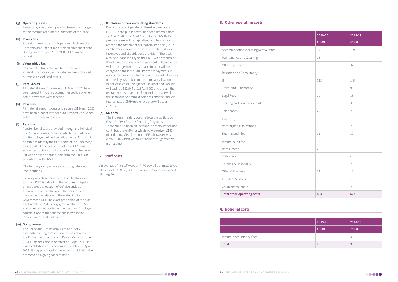#### **(g) Operating leases**

 Rentals payable under operating leases are charged to the revenue account over the term of the lease.

#### **(h) Provisions**

 Provisions are made for obligations which are of an uncertain amount or time at the balance sheet date. During financial year 2019-20, the PIRC made no provisions.

#### **(i) Value added tax**

 Irrecoverable tax is charged to the relevant expenditure category or included in the capitalised purchase cost of fixed assets.

#### **(j) Receivables**

 All material amounts due as at 31 March 2020 have been brought into the account irrespective of when actual payments were received.

#### **(k) Payables**

 All material amounts outstanding as at 31 March 2020 have been brought into account irrespective of when actual payments were made.

#### **(l) Pensions**

 Pension benefits are provided through the Principal Civil Service Pension Scheme which is an unfunded multi-employer defined benefit scheme. As it is not possible to identify the PIRC share of the underlying assets and liabilities of the scheme, PIRC has accounted for the contributions to the scheme as if it was a defined contribution scheme. This is in accordance with FRS 17.

 The funding arrangements are through defined contributions.

 It is not possible to identify or describe the extent to which PIRC is liable for other entities obligations or any agreed allocation of deficit/surplus on the wind-up of the plan given the scale of our involvement in relation to the wider Scottish Government (SG). The exact proportion of the plan attributable to PIRC is negligible in relation to SG and other related bodies within the plan. Employer contributions to the scheme are shown in the Remuneration and Staff Report.

#### **(m) Going concern**

 The Police and Fire Reform (Scotland) Act 2012 established a single Police Service in Scotland and the Police Investigations and Review Commissioner (PIRC). The act came in to effect on 1 April 2013. PIRC was established and came in to effect from 1 April 2013. It is appropriate for the accounts of PIRC to be prepared on a going concern basis.

Accommodation including Rent & Rates Maintenance and Cleaning Office Equipment Research and Consultancy  $1188$  188 145 Travel and Subsistence Legal Fees 21 13 Training and Conference costs Telephones Electricity 10 and 10 and 10 and 10 and 10 and 10 and 10 and 10 and 10 and 10 and 10 and 10 and 10 and 10 and 10 and 10 and 10 and 10 and 10 and 10 and 10 and 10 and 10 and 10 and 10 and 10 and 10 and 10 and 10 and 10 and Printing and Publications External audit fee Internal audit fee Recruitment Stationery Catering & Hospitality Other Office costs Furniture & Fittings Childcare Vouchers **Total other operating costs 694 673**

#### **(n) Disclosure of new accounting standards**

 Due to the recent pandemic the effective date of IFRS 16 in the public sector has been deferred from 1st April 2020 to 1st April 2021. Under IFRS 16 the premise lease will be capitalised and held as an asset on the Statement of Financial Position (SoFP) in 2021/22 alongside the recently capitalised lease incentives and dilapidations provision. There will also be a lease liability on the SoFP which represent the obligation to make lease payments. Depreciation will be charged on the asset and interest will be charged on the lease liability, cash repayments will also be recognised in the Statement of Cash Flows, as required by IAS 7. Due to the prior capitalisation of initial lease costs, the right of use asset and liability will each be £82,544 at 1st April 2021. Although the overall expense over the lifetime of the lease will be the same due to timing differences and the implicit interest rate a £699 greater expense will occur in 2021-22.

#### **(o) Salaries**

 The increase in salary costs reflects the uplift to our GIA of £1,068k for 2018/19 being fully utilised. There has also been an increase to employer pension contributions of 6% for which we were given £120k of additional GIA. The cost to PIRC however was circa £150k which we have funded through vacancy management.

An average of 77 staff were on PIRC payroll during 2019/20 at a cost of £3,683k (for full details see Remuneration and Staffing Report).

#### **2. Staff costs**

#### **3. Other operating costs**

| 2019-20                   | 2018-19                   |
|---------------------------|---------------------------|
| $\textbf{E}'\textbf{000}$ | $\textbf{E}'\textbf{000}$ |
| 191                       | 189                       |
| 26                        | 44                        |
| $11\,$                    | 37                        |
| $\mathbb{Z}^{\mathbb{Z}}$ | ÷,                        |
| 188                       | 145                       |
| $111\,$                   | 99                        |
| 21                        | 13                        |
| 28                        | 36                        |
| 20                        | 25                        |
| 15                        | 10                        |
| 29                        | 29                        |
| 13                        | 12                        |
| 12                        | 12                        |
| $\overline{2}$            | $\overline{4}$            |
| 3                         | $\overline{4}$            |
| $\,1\,$                   | $\overline{2}$            |
| 23                        | 10                        |
| $\overline{\phantom{a}}$  | ÷,                        |
| $\omega_{\rm c}$          | $\overline{2}$            |
| 694                       | 673                       |

#### **4. Notional costs**

| 2019-20 | 2018-19 |
|---------|---------|
| £'000   | £'000   |
| 3       | 3       |
| 3       | 3       |



Internal Accountancy Fees

**Total**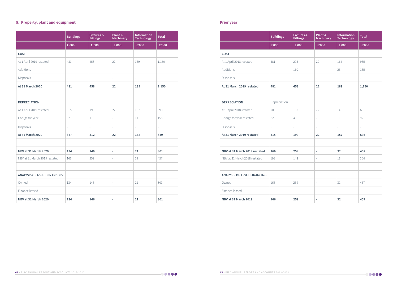

|                                     | <b>Buildings</b>         | <b>Fixtures &amp;</b><br><b>Fittings</b> | Plant &<br><b>Machinery</b> | <b>Information</b><br><b>Technology</b> | <b>Total</b>        |
|-------------------------------------|--------------------------|------------------------------------------|-----------------------------|-----------------------------------------|---------------------|
|                                     | £'000                    | £'000                                    | £'000                       | £'000                                   | £'000               |
| <b>COST</b>                         |                          |                                          |                             |                                         |                     |
| At 1 April 2019 restated            | 481                      | 458                                      | 22                          | 189                                     | 1,150               |
| Additions                           | $\overline{\phantom{a}}$ | $\bar{a}$                                | $\frac{1}{2}$               | $\bar{\phantom{a}}$                     | $\bar{a}$           |
| Disposals                           | $\bar{\phantom{a}}$      | $\overline{\phantom{a}}$                 | $\frac{1}{2}$               | $\overline{\phantom{a}}$                | $\bar{z}$           |
| At 31 March 2020                    | 481                      | 458                                      | 22                          | 189                                     | 1,150               |
|                                     |                          |                                          |                             |                                         |                     |
| <b>DEPRECIATION</b>                 |                          |                                          |                             |                                         |                     |
| At 1 April 2019 restated            | 315                      | 199                                      | 22                          | 157                                     | 693                 |
| Charge for year                     | 32                       | 113                                      | $\frac{1}{2}$               | 11                                      | 156                 |
| Disposals                           | $\overline{\phantom{a}}$ | $\bar{\phantom{a}}$                      | $\overline{\phantom{a}}$    | $\Box$                                  | $\bar{\phantom{a}}$ |
| At 31 March 2020                    | 347                      | 312                                      | 22                          | 168                                     | 849                 |
|                                     |                          |                                          |                             |                                         |                     |
| NBV at 31 March 2020                | 134                      | 146                                      | $\overline{\phantom{a}}$    | 21                                      | 301                 |
| NBV at 31 March 2019 restated       | 166                      | 259                                      | $\bar{\phantom{a}}$         | 32                                      | 457                 |
|                                     |                          |                                          |                             |                                         |                     |
| <b>ANALYSIS OF ASSET FINANCING:</b> |                          |                                          |                             |                                         |                     |
| Owned                               | 134                      | 146                                      | $\frac{1}{2}$               | 21                                      | 301                 |
| Finance leased                      | $\bar{\phantom{a}}$      | $\bar{\phantom{a}}$                      | $\overline{\phantom{a}}$    | ä,                                      | $\bar{\phantom{a}}$ |
| <b>NBV at 31 March 2020</b>         | 134                      | 146                                      | $\overline{\phantom{a}}$    | 21                                      | 301                 |

### **5. Property, plant and equipment**

|                                     | <b>Buildings</b>         | <b>Fixtures &amp;</b><br><b>Fittings</b> | Plant &<br><b>Machinery</b> | <b>Information</b><br><b>Technology</b> | <b>Total</b>             |
|-------------------------------------|--------------------------|------------------------------------------|-----------------------------|-----------------------------------------|--------------------------|
|                                     | £'000                    | £'000                                    | £'000                       | £'000                                   | £'000                    |
| <b>COST</b>                         |                          |                                          |                             |                                         |                          |
| At 1 April 2018 restated            | 481                      | 298                                      | 22                          | 164                                     | 965                      |
| Additions                           | $\overline{\phantom{a}}$ | 160                                      | $\frac{1}{2}$               | 25                                      | 185                      |
| Disposals                           | $\overline{\phantom{a}}$ | $\overline{\phantom{a}}$                 | $\bar{z}$                   | $\bar{ }$                               | $\overline{\phantom{a}}$ |
| At 31 March 2019 restated           | 481                      | 458                                      | 22                          | 189                                     | 1,150                    |
|                                     |                          |                                          |                             |                                         |                          |
| <b>DEPRECIATION</b>                 | Depreciation             |                                          |                             |                                         |                          |
| At 1 April 2018 restated            | 283                      | 150                                      | 22                          | 146                                     | 601                      |
| Charge for year restated            | 32                       | 49                                       | $\frac{1}{2}$               | 11                                      | 92                       |
| Disposals                           | $\overline{\phantom{a}}$ | $\bar{\phantom{a}}$                      | $\bar{\phantom{a}}$         | $\bar{ }$                               | $\overline{\phantom{a}}$ |
| At 31 March 2019 restated           | 315                      | 199                                      | 22                          | 157                                     | 693                      |
|                                     |                          |                                          |                             |                                         |                          |
| NBV at 31 March 2019 restated       | 166                      | 259                                      | ä,                          | 32                                      | 457                      |
| NBV at 31 March 2018 restated       | 198                      | 148                                      | $\overline{\phantom{a}}$    | 18                                      | 364                      |
|                                     |                          |                                          |                             |                                         |                          |
| <b>ANALYSIS OF ASSET FINANCING:</b> |                          |                                          |                             |                                         |                          |
| Owned                               | 166                      | 259                                      | $\bar{\phantom{a}}$         | 32                                      | 457                      |
| Finance leased                      | $\bar{a}$                | $\bar{\phantom{a}}$                      | $\Box$                      | $\overline{\phantom{0}}$                | $\Box$                   |
| <b>NBV at 31 March 2019</b>         | 166                      | 259                                      | $\blacksquare$              | 32                                      | 457                      |

### **Prior year**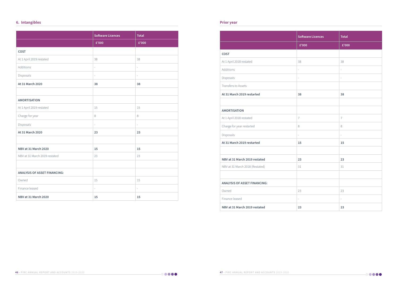|                                     | <b>Software Licences</b> | <b>Total</b>        |
|-------------------------------------|--------------------------|---------------------|
|                                     | £'000                    | £'000               |
| <b>COST</b>                         |                          |                     |
| At 1 April 2019 restated            | 38                       | 38                  |
| Additions                           | $\bar{\phantom{a}}$      | $\Box$              |
| Disposals                           | $\frac{1}{2}$            | $\bar{\phantom{a}}$ |
| At 31 March 2020                    | 38                       | 38                  |
|                                     |                          |                     |
| <b>AMORTISATION</b>                 |                          |                     |
| At 1 April 2019 restated            | 15                       | 15                  |
| Charge for year                     | $\,8\,$                  | 8                   |
| Disposals                           | $\mathbb{L}$             | $\bar{\phantom{a}}$ |
| At 31 March 2020                    | 23                       | 23                  |
|                                     |                          |                     |
| NBV at 31 March 2020                | 15                       | 15                  |
| NBV at 31 March 2019 restated       | 23                       | 23                  |
|                                     |                          |                     |
| <b>ANALYSIS OF ASSET FINANCING:</b> |                          |                     |
| Owned                               | 15                       | 15                  |
| Finance leased                      | $\Box$                   | $\frac{1}{2}$       |
| NBV at 31 March 2020                | 15                       | 15                  |

### **6. Intangibles**

|                                     | <b>Software Licences</b> | <b>Total</b>             |
|-------------------------------------|--------------------------|--------------------------|
|                                     | £'000                    | £'000                    |
| <b>COST</b>                         |                          |                          |
| At 1 April 2018 restated            | 38                       | 38                       |
| Additions                           | $\bar{\phantom{a}}$      | $\bar{\phantom{a}}$      |
| Disposals                           | $\bar{\phantom{a}}$      | $\overline{\phantom{a}}$ |
| Transfers to Assets                 |                          |                          |
| At 31 March 2019 restarted          | 38                       | 38                       |
|                                     |                          |                          |
| <b>AMORTISATION</b>                 |                          |                          |
| At 1 April 2018 restated            | $\overline{7}$           | $\overline{7}$           |
| Charge for year restarted           | $\,8\,$                  | $\,8\,$                  |
| Disposals                           | $\overline{\phantom{a}}$ | $\overline{\phantom{a}}$ |
| At 31 March 2019 restarted          | 15                       | 15                       |
|                                     |                          |                          |
| NBV at 31 March 2019 restated       | 23                       | 23                       |
| NBV at 31 March 2018 (Restated)     | 31                       | 31                       |
|                                     |                          |                          |
| <b>ANALYSIS OF ASSET FINANCING:</b> |                          |                          |
| Owned                               | 23                       | 23                       |
| Finance leased                      | $\bar{\phantom{a}}$      | $\overline{\phantom{a}}$ |
| NBV at 31 March 2019 restated       | 23                       | 23                       |



### **Prior year**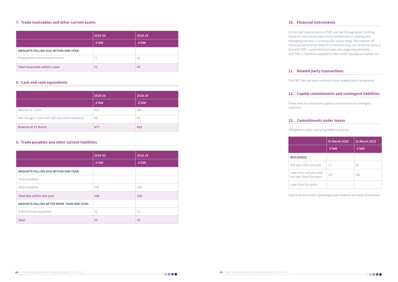|                                      | 2019-20<br>£'000 | 2018-19<br>£'000 |
|--------------------------------------|------------------|------------------|
| AMOUNTS FALLING DUE WITHIN ONE YEAR: |                  |                  |
| Prepayments and accrued income       | 7i               | 82               |
| Total receivable within 1 year       | 71               | 82               |

#### **7. Trade receivables and other current assets**

|                                                 | 2019-20 | 2018-19 |
|-------------------------------------------------|---------|---------|
|                                                 | £'000   | £'000   |
| Balance at 1 April                              | 429     | 389     |
| Net change in cash and cash equivalent balances | 48      | 40      |
| <b>Balance at 31 March</b>                      | 477     | 429     |

#### **8. Cash and cash equivalents**

#### **9. Trade payables and other current liabilities**

|                                           | $2019 - 20$<br>£'000     | $2018 - 19$<br>£'000     |
|-------------------------------------------|--------------------------|--------------------------|
| AMOUNTS FALLING DUE WITHIN ONE YEAR:      |                          |                          |
| Trade payables                            | $\overline{\phantom{a}}$ | $\overline{\phantom{a}}$ |
| Other payables                            | 348                      | 328                      |
| Total due within one year                 | 348                      | 328                      |
| AMOUNTS FALLING AFTER MORE THAN ONE YEAR: |                          |                          |
| Deferred lease payments                   | 32                       | 32                       |
| <b>Total</b>                              | 32                       | 32                       |

As the cash requirements of PIRC are met through grant funding, financial instruments play a more limited role in creating and managing risk than in a non-public sector body. The majority of financial instruments relate to contracts to buy non-financial items in line with PIRC' s expected purchase and usage requirements, and PIRC is therefore exposed to little credit, liquidity or market risk.

#### **10. Financial instruments**

The PIRC has not been involved in any related party transactions.

#### **11. Related party transactions**

There were no contracted capital commitments or contingent liabilities.

### **12. Capital commitments and contingent liabilities**

Obligations under operating leases comprise:

**BUILDI** 

Not late

Later tha

Later tha

#### **13. Commitments under leases**

|                                                      | 31 March 2020 | 31 March 2019 |
|------------------------------------------------------|---------------|---------------|
|                                                      | £'000         | £'000         |
| <b>BUILDINGS:</b>                                    |               |               |
| Not later than one year                              | 73            | 61            |
| Later than one year and<br>not later than five years | 167           | 182           |
| Later than five years                                |               |               |

Payments due under operating leases relate to the lease of premises.

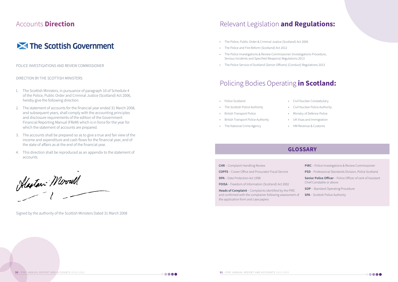- The Police, Public Order & Criminal Justice (Scotland) Act 2006
- The Police and Fire Reform (Scotland) Act 2012
- The Police Investigations & Review Commissioner (Investigations Procedure, Serious Incidents and Specified Weapons) Regulations 2013
- The Police Service of Scotland (Senior Officers) (Conduct) Regulations 2013

### Relevant Legislation **and Regulations:**

- Police Scotland
- The Scottish Police Authority
- British Transport Police
- British Transport Police Authority
- The National Crime Agency
- 
- 
- 
- 
- 
- 
- 
- 

### Policing Bodies Operating **in Scotland:**

- **CHR** Complaint Handling Review
- **COPFS** Crown Office and Procurator Fiscal Service

**DPA** – Data Protection Act 1998

**FOISA** – Freedom of Information (Scotland) Act 2002

**Heads of Complaint** – Complaints identified by the PIRC and confirmed with the complainer following assessment of the application form and case papers

• Civil Nuclear Constabulary

• Civil Nuclear Police Authority

• Ministry of Defence Police

• UK Visas and Immigration

• HM Revenue & Customs

### **GLOSSARY**

**PIRC** – Police Investigations & Review Commissioner

**PSD** – Professional Standards Division, Police Scotland

**Senior Police Officer** – Police Officer of rank of Assistant Chief Constable or above

**SOP** – Standard Operating Procedure

**SPA** – Scottish Police Authority



POLICE INVESTIGATIONS AND REVIEW COMMISSIONER

#### DIRECTION BY THE SCOTTISH MINISTERS

- 1. The Scottish Ministers, in pursuance of paragraph 10 of Schedule 4 of the Police, Public Order and Criminal Justice (Scotland) Act 2006, hereby give the following direction.
- 2. The statement of accounts for the financial year ended 31 March 2008, and subsequent years, shall comply with the accounting principles and disclosure requirements of the edition of the Government Financial Reporting Manual (FReM) which is in force for the year for which the statement of accounts are prepared.
- 3. The accounts shall be prepared so as to give a true and fair view of the income and expenditure and cash flows for the financial year, and of the state of affairs as at the end of the financial year.
- 4. This direction shall be reproduced as an appendix to the statement of accounts.

Hastani Morrutt

### Accounts **Direction**

### The Scottish Government

Signed by the authority of the Scottish Ministers Dated 31 March 2008